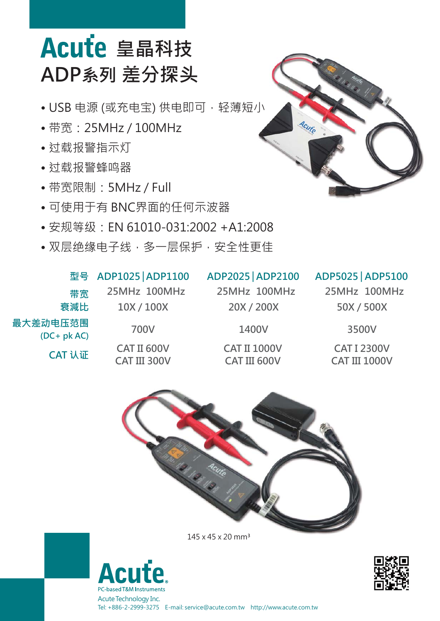# Acute 皇晶科技 **ADP系列 差分探头**

- USB 电源 (或充电宝) 供电即可,轻薄短小
- 带宽:25MHz / 100MHz
- 过载报警指示灯
- 过载报警蜂鸣器

**最大差动电压范围**

**(DC+ pk AC)**

**CAT 认证**

**衰減比**

**带宽**

- 带宽限制:5MHz / Full
- 可使用于有 BNC界面的任何示波器
- 安规等级:EN 61010-031:2002 +A1:2008
- 双层绝缘电子线,多一层保护,安全性更佳

## **型号 ADP1025 ADP1100 ADP2025 ADP2100 │ │ ADP5025 ADP5100 │**

**25MHz 100MHz 10X / 100X**

### **700V**

**CAT II 600V CAT III 300V** **25MHz 100MHz**

**20X / 200X**

**CAT II 1000V CAT III 600V**

**1400V**

**25MHz 100MHz 50X / 500X**

**CAT I 2300V CAT III 1000V**

**3500V**



145 x 45 x 20 mm³







Tel: +886-2-2999-3275 E-mail: service@acute.com.tw http://www.acute.com.tw